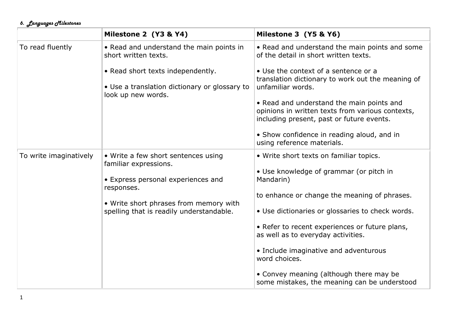## *6. Languages Milestones*

|                        | Milestone 2 (Y3 & Y4)                                                              | Milestone 3 (Y5 & Y6)                                                                                                                      |
|------------------------|------------------------------------------------------------------------------------|--------------------------------------------------------------------------------------------------------------------------------------------|
| To read fluently       | • Read and understand the main points in<br>short written texts.                   | • Read and understand the main points and some<br>of the detail in short written texts.                                                    |
|                        | • Read short texts independently.<br>• Use a translation dictionary or glossary to | • Use the context of a sentence or a<br>translation dictionary to work out the meaning of<br>unfamiliar words.                             |
|                        | look up new words.                                                                 | • Read and understand the main points and<br>opinions in written texts from various contexts,<br>including present, past or future events. |
|                        |                                                                                    | • Show confidence in reading aloud, and in<br>using reference materials.                                                                   |
| To write imaginatively | • Write a few short sentences using<br>familiar expressions.                       | • Write short texts on familiar topics.                                                                                                    |
|                        | • Express personal experiences and<br>responses.                                   | • Use knowledge of grammar (or pitch in<br>Mandarin)                                                                                       |
|                        | • Write short phrases from memory with                                             | to enhance or change the meaning of phrases.                                                                                               |
|                        | spelling that is readily understandable.                                           | • Use dictionaries or glossaries to check words.                                                                                           |
|                        |                                                                                    | • Refer to recent experiences or future plans,<br>as well as to everyday activities.                                                       |
|                        |                                                                                    | • Include imaginative and adventurous<br>word choices.                                                                                     |
|                        |                                                                                    | • Convey meaning (although there may be<br>some mistakes, the meaning can be understood                                                    |